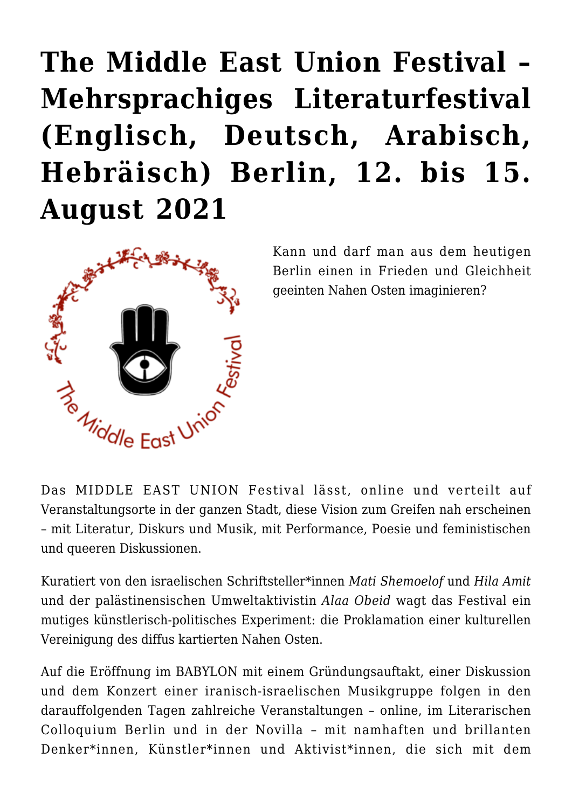## **[The Middle East Union Festival –](https://rozenbergquarterly.com/the-middle-east-union-festival-mehrsprachiges-literaturfestival-englisch-deutsch-arabisch-hebraisch-berlin-12-bis-15-august-2021/) [Mehrsprachiges Literaturfestival](https://rozenbergquarterly.com/the-middle-east-union-festival-mehrsprachiges-literaturfestival-englisch-deutsch-arabisch-hebraisch-berlin-12-bis-15-august-2021/) [\(Englisch, Deutsch, Arabisch,](https://rozenbergquarterly.com/the-middle-east-union-festival-mehrsprachiges-literaturfestival-englisch-deutsch-arabisch-hebraisch-berlin-12-bis-15-august-2021/) [Hebräisch\) Berlin, 12. bis 15.](https://rozenbergquarterly.com/the-middle-east-union-festival-mehrsprachiges-literaturfestival-englisch-deutsch-arabisch-hebraisch-berlin-12-bis-15-august-2021/) [August 2021](https://rozenbergquarterly.com/the-middle-east-union-festival-mehrsprachiges-literaturfestival-englisch-deutsch-arabisch-hebraisch-berlin-12-bis-15-august-2021/)**



Kann und darf man aus dem heutigen Berlin einen in Frieden und Gleichheit geeinten Nahen Osten imaginieren?

Das MIDDLE EAST UNION Festival lässt, online und verteilt auf Veranstaltungsorte in der ganzen Stadt, diese Vision zum Greifen nah erscheinen – mit Literatur, Diskurs und Musik, mit Performance, Poesie und feministischen und queeren Diskussionen.

Kuratiert von den israelischen Schriftsteller\*innen *Mati Shemoelof* und *Hila Amit* und der palästinensischen Umweltaktivistin *Alaa Obeid* wagt das Festival ein mutiges künstlerisch-politisches Experiment: die Proklamation einer kulturellen Vereinigung des diffus kartierten Nahen Osten.

Auf die Eröffnung im BABYLON mit einem Gründungsauftakt, einer Diskussion und dem Konzert einer iranisch-israelischen Musikgruppe folgen in den darauffolgenden Tagen zahlreiche Veranstaltungen – online, im Literarischen Colloquium Berlin und in der Novilla – mit namhaften und brillanten Denker\*innen, Künstler\*innen und Aktivist\*innen, die sich mit dem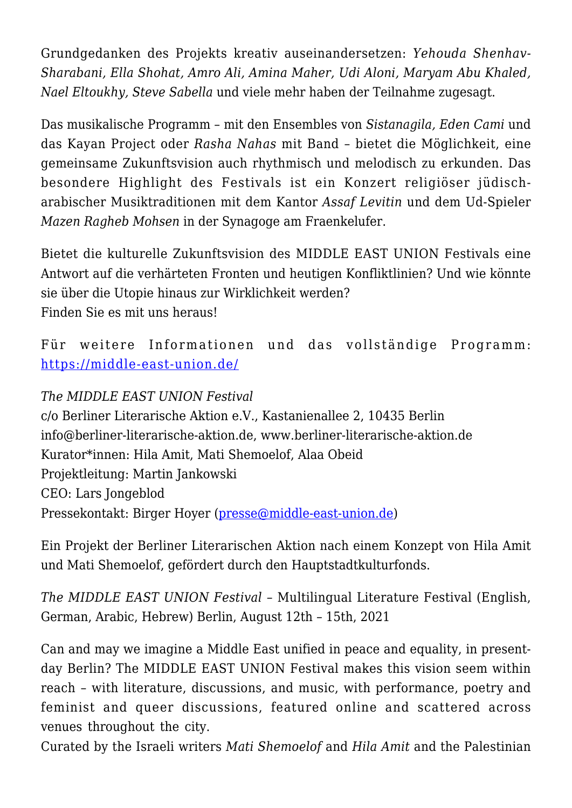Grundgedanken des Projekts kreativ auseinandersetzen: *Yehouda Shenhav-Sharabani, Ella Shohat, Amro Ali, Amina Maher, Udi Aloni, Maryam Abu Khaled, Nael Eltoukhy, Steve Sabella* und viele mehr haben der Teilnahme zugesagt.

Das musikalische Programm – mit den Ensembles von *Sistanagila, Eden Cami* und das Kayan Project oder *Rasha Nahas* mit Band – bietet die Möglichkeit, eine gemeinsame Zukunftsvision auch rhythmisch und melodisch zu erkunden. Das besondere Highlight des Festivals ist ein Konzert religiöser jüdischarabischer Musiktraditionen mit dem Kantor *Assaf Levitin* und dem Ud-Spieler *Mazen Ragheb Mohsen* in der Synagoge am Fraenkelufer.

Bietet die kulturelle Zukunftsvision des MIDDLE EAST UNION Festivals eine Antwort auf die verhärteten Fronten und heutigen Konfliktlinien? Und wie könnte sie über die Utopie hinaus zur Wirklichkeit werden? Finden Sie es mit uns heraus!

Für weitere Informationen und das vollständige Programm: <https://middle-east-union.de/>

## *The MIDDLE EAST UNION Festival*

c/o Berliner Literarische Aktion e.V., Kastanienallee 2, 10435 Berlin info@berliner-literarische-aktion.de, www.berliner-literarische-aktion.de Kurator\*innen: Hila Amit, Mati Shemoelof, Alaa Obeid Projektleitung: Martin Jankowski CEO: Lars Jongeblod Pressekontakt: Birger Hoyer ([presse@middle-east-union.de\)](mailto:presse@middle-east-union.de)

Ein Projekt der Berliner Literarischen Aktion nach einem Konzept von Hila Amit und Mati Shemoelof, gefördert durch den Hauptstadtkulturfonds.

*The MIDDLE EAST UNION Festival –* Multilingual Literature Festival (English, German, Arabic, Hebrew) Berlin, August 12th – 15th, 2021

Can and may we imagine a Middle East unified in peace and equality, in presentday Berlin? The MIDDLE EAST UNION Festival makes this vision seem within reach – with literature, discussions, and music, with performance, poetry and feminist and queer discussions, featured online and scattered across venues throughout the city.

Curated by the Israeli writers *Mati Shemoelof* and *Hila Amit* and the Palestinian